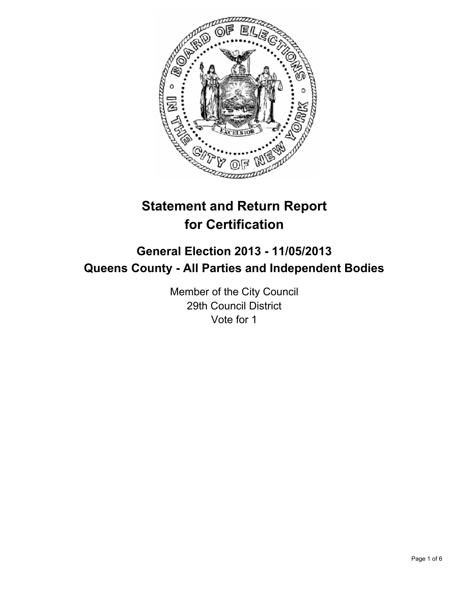

# **Statement and Return Report for Certification**

## **General Election 2013 - 11/05/2013 Queens County - All Parties and Independent Bodies**

Member of the City Council 29th Council District Vote for 1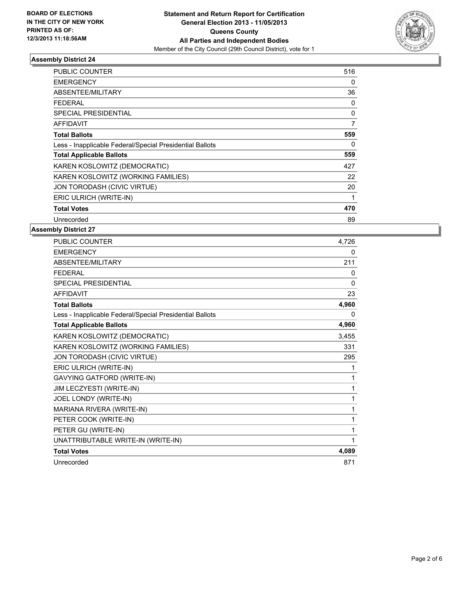

#### **Assembly District 24**

| <b>PUBLIC COUNTER</b>                                    | 516            |
|----------------------------------------------------------|----------------|
| <b>EMERGENCY</b>                                         | 0              |
| ABSENTEE/MILITARY                                        | 36             |
| FEDERAL                                                  | 0              |
| <b>SPECIAL PRESIDENTIAL</b>                              | 0              |
| <b>AFFIDAVIT</b>                                         | $\overline{7}$ |
| <b>Total Ballots</b>                                     | 559            |
| Less - Inapplicable Federal/Special Presidential Ballots | 0              |
| <b>Total Applicable Ballots</b>                          | 559            |
| KAREN KOSLOWITZ (DEMOCRATIC)                             | 427            |
| KAREN KOSLOWITZ (WORKING FAMILIES)                       | 22             |
| JON TORODASH (CIVIC VIRTUE)                              | 20             |
| ERIC ULRICH (WRITE-IN)                                   | 1              |
| <b>Total Votes</b>                                       | 470            |
| Unrecorded                                               | 89             |

#### **Assembly District 27**

| <b>PUBLIC COUNTER</b>                                    | 4,726        |
|----------------------------------------------------------|--------------|
| <b>EMERGENCY</b>                                         | 0            |
| ABSENTEE/MILITARY                                        | 211          |
| <b>FEDERAL</b>                                           | 0            |
| <b>SPECIAL PRESIDENTIAL</b>                              | $\mathbf{0}$ |
| <b>AFFIDAVIT</b>                                         | 23           |
| <b>Total Ballots</b>                                     | 4,960        |
| Less - Inapplicable Federal/Special Presidential Ballots | 0            |
| <b>Total Applicable Ballots</b>                          | 4,960        |
| KAREN KOSLOWITZ (DEMOCRATIC)                             | 3,455        |
| KAREN KOSLOWITZ (WORKING FAMILIES)                       | 331          |
| JON TORODASH (CIVIC VIRTUE)                              | 295          |
| ERIC ULRICH (WRITE-IN)                                   | 1            |
| <b>GAVYING GATFORD (WRITE-IN)</b>                        | 1            |
| JIM LECZYESTI (WRITE-IN)                                 | 1            |
| JOEL LONDY (WRITE-IN)                                    | 1            |
| MARIANA RIVERA (WRITE-IN)                                | 1            |
| PETER COOK (WRITE-IN)                                    | 1            |
| PETER GU (WRITE-IN)                                      | 1            |
| UNATTRIBUTABLE WRITE-IN (WRITE-IN)                       | 1            |
| <b>Total Votes</b>                                       | 4,089        |
| Unrecorded                                               | 871          |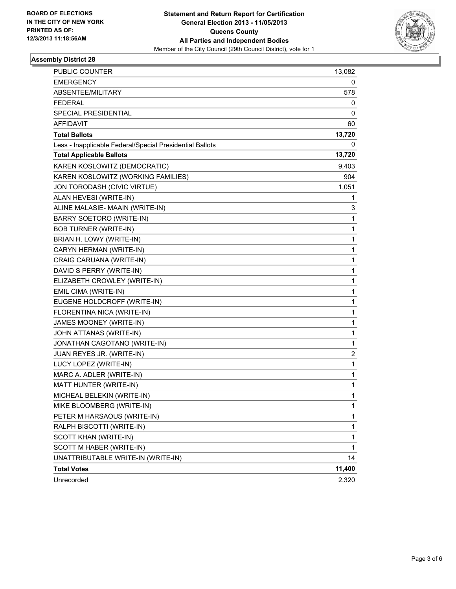

#### **Assembly District 28**

| <b>PUBLIC COUNTER</b>                                    | 13,082       |
|----------------------------------------------------------|--------------|
| <b>EMERGENCY</b>                                         | 0            |
| ABSENTEE/MILITARY                                        | 578          |
| <b>FEDERAL</b>                                           | 0            |
| SPECIAL PRESIDENTIAL                                     | 0            |
| <b>AFFIDAVIT</b>                                         | 60           |
| <b>Total Ballots</b>                                     | 13,720       |
| Less - Inapplicable Federal/Special Presidential Ballots | 0            |
| <b>Total Applicable Ballots</b>                          | 13,720       |
| KAREN KOSLOWITZ (DEMOCRATIC)                             | 9,403        |
| KAREN KOSLOWITZ (WORKING FAMILIES)                       | 904          |
| JON TORODASH (CIVIC VIRTUE)                              | 1,051        |
| ALAN HEVESI (WRITE-IN)                                   | 1            |
| ALINE MALASIE- MAAIN (WRITE-IN)                          | 3            |
| BARRY SOETORO (WRITE-IN)                                 | 1            |
| <b>BOB TURNER (WRITE-IN)</b>                             | 1            |
| BRIAN H. LOWY (WRITE-IN)                                 | 1            |
| CARYN HERMAN (WRITE-IN)                                  | 1            |
| CRAIG CARUANA (WRITE-IN)                                 | 1            |
| DAVID S PERRY (WRITE-IN)                                 | 1            |
| ELIZABETH CROWLEY (WRITE-IN)                             | 1            |
| EMIL CIMA (WRITE-IN)                                     | 1            |
| EUGENE HOLDCROFF (WRITE-IN)                              | 1            |
| FLORENTINA NICA (WRITE-IN)                               | 1            |
| JAMES MOONEY (WRITE-IN)                                  | 1            |
| JOHN ATTANAS (WRITE-IN)                                  | 1            |
| JONATHAN CAGOTANO (WRITE-IN)                             | 1            |
| JUAN REYES JR. (WRITE-IN)                                | 2            |
| LUCY LOPEZ (WRITE-IN)                                    | 1            |
| MARC A. ADLER (WRITE-IN)                                 | 1            |
| MATT HUNTER (WRITE-IN)                                   | 1            |
| MICHEAL BELEKIN (WRITE-IN)                               | 1            |
| MIKE BLOOMBERG (WRITE-IN)                                | 1            |
| PETER M HARSAOUS (WRITE-IN)                              | 1            |
| RALPH BISCOTTI (WRITE-IN)                                | 1            |
| SCOTT KHAN (WRITE-IN)                                    | 1            |
| SCOTT M HABER (WRITE-IN)                                 | $\mathbf{1}$ |
| UNATTRIBUTABLE WRITE-IN (WRITE-IN)                       | 14           |
| <b>Total Votes</b>                                       | 11,400       |
| Unrecorded                                               | 2,320        |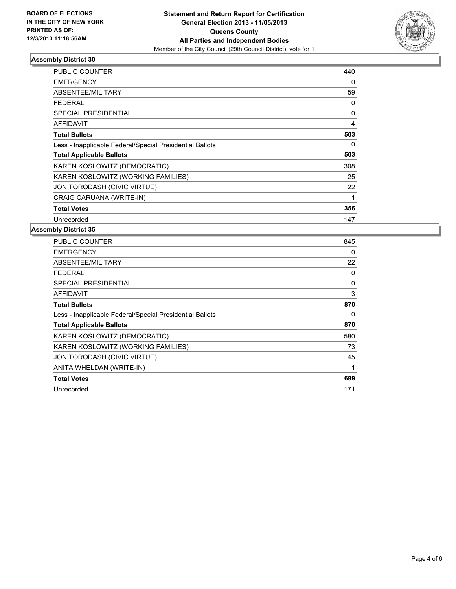

#### **Assembly District 30**

| <b>PUBLIC COUNTER</b>                                    | 440      |
|----------------------------------------------------------|----------|
| <b>EMERGENCY</b>                                         | 0        |
| ABSENTEE/MILITARY                                        | 59       |
| <b>FEDERAL</b>                                           | 0        |
| <b>SPECIAL PRESIDENTIAL</b>                              | $\Omega$ |
| <b>AFFIDAVIT</b>                                         | 4        |
| <b>Total Ballots</b>                                     | 503      |
| Less - Inapplicable Federal/Special Presidential Ballots | 0        |
| <b>Total Applicable Ballots</b>                          | 503      |
| KAREN KOSLOWITZ (DEMOCRATIC)                             | 308      |
| KAREN KOSLOWITZ (WORKING FAMILIES)                       | 25       |
| JON TORODASH (CIVIC VIRTUE)                              | 22       |
| CRAIG CARUANA (WRITE-IN)                                 | 1        |
| <b>Total Votes</b>                                       | 356      |
| Unrecorded                                               | 147      |

#### **Assembly District 35**

| <b>PUBLIC COUNTER</b>                                    | 845 |
|----------------------------------------------------------|-----|
| EMERGENCY                                                | 0   |
| ABSENTEE/MILITARY                                        | 22  |
| <b>FEDERAL</b>                                           | 0   |
| SPECIAL PRESIDENTIAL                                     | 0   |
| <b>AFFIDAVIT</b>                                         | 3   |
| <b>Total Ballots</b>                                     | 870 |
| Less - Inapplicable Federal/Special Presidential Ballots | 0   |
| <b>Total Applicable Ballots</b>                          | 870 |
| KAREN KOSLOWITZ (DEMOCRATIC)                             | 580 |
| KAREN KOSLOWITZ (WORKING FAMILIES)                       | 73  |
| JON TORODASH (CIVIC VIRTUE)                              | 45  |
| ANITA WHELDAN (WRITE-IN)                                 | 1   |
| <b>Total Votes</b>                                       | 699 |
| Unrecorded                                               | 171 |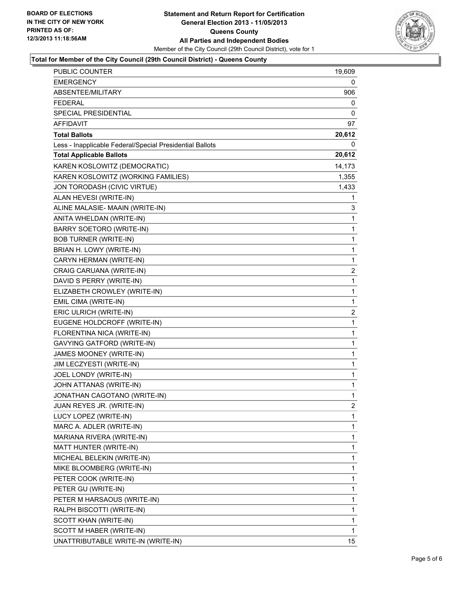

#### **Total for Member of the City Council (29th Council District) - Queens County**

| PUBLIC COUNTER                                           | 19,609         |
|----------------------------------------------------------|----------------|
| <b>EMERGENCY</b>                                         | 0              |
| ABSENTEE/MILITARY                                        | 906            |
| <b>FEDERAL</b>                                           | 0              |
| SPECIAL PRESIDENTIAL                                     | 0              |
| <b>AFFIDAVIT</b>                                         | 97             |
| <b>Total Ballots</b>                                     | 20,612         |
| Less - Inapplicable Federal/Special Presidential Ballots | 0              |
| <b>Total Applicable Ballots</b>                          | 20,612         |
| KAREN KOSLOWITZ (DEMOCRATIC)                             | 14,173         |
| KAREN KOSLOWITZ (WORKING FAMILIES)                       | 1,355          |
| JON TORODASH (CIVIC VIRTUE)                              | 1,433          |
| ALAN HEVESI (WRITE-IN)                                   | 1              |
| ALINE MALASIE- MAAIN (WRITE-IN)                          | 3              |
| ANITA WHELDAN (WRITE-IN)                                 | 1              |
| BARRY SOETORO (WRITE-IN)                                 | 1              |
| <b>BOB TURNER (WRITE-IN)</b>                             | 1              |
| BRIAN H. LOWY (WRITE-IN)                                 | 1              |
| CARYN HERMAN (WRITE-IN)                                  | 1              |
| CRAIG CARUANA (WRITE-IN)                                 | $\overline{2}$ |
| DAVID S PERRY (WRITE-IN)                                 | 1              |
| ELIZABETH CROWLEY (WRITE-IN)                             | 1              |
| EMIL CIMA (WRITE-IN)                                     | 1              |
| ERIC ULRICH (WRITE-IN)                                   | 2              |
| EUGENE HOLDCROFF (WRITE-IN)                              | 1              |
| FLORENTINA NICA (WRITE-IN)                               | 1              |
| GAVYING GATFORD (WRITE-IN)                               | 1              |
| JAMES MOONEY (WRITE-IN)                                  | 1              |
| JIM LECZYESTI (WRITE-IN)                                 | 1              |
| JOEL LONDY (WRITE-IN)                                    | $\mathbf{1}$   |
| JOHN ATTANAS (WRITE-IN)                                  | 1              |
| JONATHAN CAGOTANO (WRITE-IN)                             | 1              |
| JUAN REYES JR. (WRITE-IN)                                | $\mathbf{2}$   |
| LUCY LOPEZ (WRITE-IN)                                    | 1              |
| MARC A. ADLER (WRITE-IN)                                 | 1              |
| MARIANA RIVERA (WRITE-IN)                                | 1              |
| MATT HUNTER (WRITE-IN)                                   | 1              |
| MICHEAL BELEKIN (WRITE-IN)                               | 1              |
| MIKE BLOOMBERG (WRITE-IN)                                | 1              |
| PETER COOK (WRITE-IN)                                    | 1              |
| PETER GU (WRITE-IN)                                      | 1              |
| PETER M HARSAOUS (WRITE-IN)                              | 1              |
| RALPH BISCOTTI (WRITE-IN)                                | 1              |
| SCOTT KHAN (WRITE-IN)                                    | 1              |
| SCOTT M HABER (WRITE-IN)                                 | 1              |
| UNATTRIBUTABLE WRITE-IN (WRITE-IN)                       | 15             |